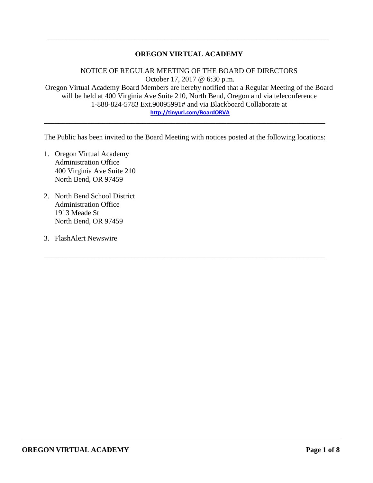### **OREGON VIRTUAL ACADEMY**

\_\_\_\_\_\_\_\_\_\_\_\_\_\_\_\_\_\_\_\_\_\_\_\_\_\_\_\_\_\_\_\_\_\_\_\_\_\_\_\_\_\_\_\_\_\_\_\_\_\_\_\_\_\_\_\_\_\_\_\_\_\_\_\_\_\_\_\_\_\_\_\_\_\_\_\_\_

NOTICE OF REGULAR MEETING OF THE BOARD OF DIRECTORS October 17, 2017 @ 6:30 p.m. Oregon Virtual Academy Board Members are hereby notified that a Regular Meeting of the Board will be held at 400 Virginia Ave Suite 210, North Bend, Oregon and via teleconference 1-888-824-5783 Ext.90095991# and via Blackboard Collaborate at **<http://tinyurl.com/BoardORVA>**

The Public has been invited to the Board Meeting with notices posted at the following locations:

\_\_\_\_\_\_\_\_\_\_\_\_\_\_\_\_\_\_\_\_\_\_\_\_\_\_\_\_\_\_\_\_\_\_\_\_\_\_\_\_\_\_\_\_\_\_\_\_\_\_\_\_\_\_\_\_\_\_\_\_\_\_\_\_\_\_\_\_\_\_\_\_\_\_\_\_\_

\_\_\_\_\_\_\_\_\_\_\_\_\_\_\_\_\_\_\_\_\_\_\_\_\_\_\_\_\_\_\_\_\_\_\_\_\_\_\_\_\_\_\_\_\_\_\_\_\_\_\_\_\_\_\_\_\_\_\_\_\_\_\_\_\_\_\_\_\_\_\_\_\_\_\_\_\_

- 1. Oregon Virtual Academy Administration Office 400 Virginia Ave Suite 210 North Bend, OR 97459
- 2. North Bend School District Administration Office 1913 Meade St North Bend, OR 97459
- 3. FlashAlert Newswire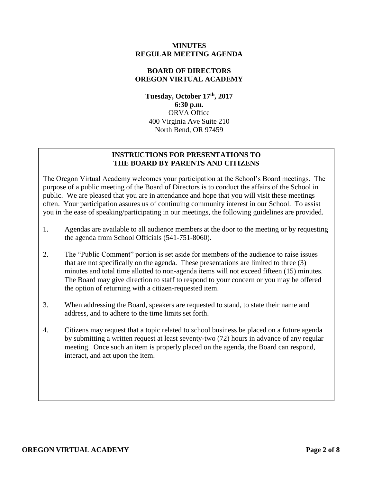#### **MINUTES REGULAR MEETING AGENDA**

## **BOARD OF DIRECTORS OREGON VIRTUAL ACADEMY**

**Tuesday, October 17th , 2017 6:30 p.m.** ORVA Office 400 Virginia Ave Suite 210 North Bend, OR 97459

### **INSTRUCTIONS FOR PRESENTATIONS TO THE BOARD BY PARENTS AND CITIZENS**

The Oregon Virtual Academy welcomes your participation at the School's Board meetings. The purpose of a public meeting of the Board of Directors is to conduct the affairs of the School in public. We are pleased that you are in attendance and hope that you will visit these meetings often. Your participation assures us of continuing community interest in our School. To assist you in the ease of speaking/participating in our meetings, the following guidelines are provided.

- 1. Agendas are available to all audience members at the door to the meeting or by requesting the agenda from School Officials (541-751-8060).
- 2. The "Public Comment" portion is set aside for members of the audience to raise issues that are not specifically on the agenda. These presentations are limited to three (3) minutes and total time allotted to non-agenda items will not exceed fifteen (15) minutes. The Board may give direction to staff to respond to your concern or you may be offered the option of returning with a citizen-requested item.
- 3. When addressing the Board, speakers are requested to stand, to state their name and address, and to adhere to the time limits set forth.
- 4. Citizens may request that a topic related to school business be placed on a future agenda by submitting a written request at least seventy-two (72) hours in advance of any regular meeting. Once such an item is properly placed on the agenda, the Board can respond, interact, and act upon the item.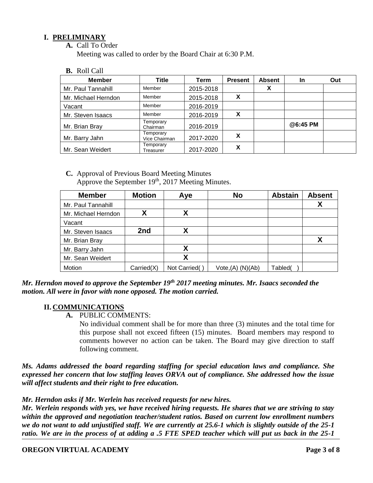## **I. PRELIMINARY**

**A.** Call To Order

Meeting was called to order by the Board Chair at 6:30 P.M.

**B.** Roll Call

| <b>Member</b>       | Title                      | Term      | <b>Present</b> | <b>Absent</b> | <b>In</b> | Out |
|---------------------|----------------------------|-----------|----------------|---------------|-----------|-----|
| Mr. Paul Tannahill  | Member                     | 2015-2018 |                | Х             |           |     |
| Mr. Michael Herndon | Member                     | 2015-2018 | X              |               |           |     |
| Vacant              | Member                     | 2016-2019 |                |               |           |     |
| Mr. Steven Isaacs   | Member                     | 2016-2019 | X              |               |           |     |
| Mr. Brian Bray      | Temporary<br>Chairman      | 2016-2019 |                |               | @6:45 PM  |     |
| Mr. Barry Jahn      | Temporary<br>Vice Chairman | 2017-2020 | x              |               |           |     |
| Mr. Sean Weidert    | Temporary<br>Treasurer     | 2017-2020 | х              |               |           |     |

**C.** Approval of Previous Board Meeting Minutes Approve the September  $19<sup>th</sup>$ , 2017 Meeting Minutes.

| <b>Member</b>       | <b>Motion</b> | Aye           | <b>No</b>        | <b>Abstain</b> | <b>Absent</b> |
|---------------------|---------------|---------------|------------------|----------------|---------------|
| Mr. Paul Tannahill  |               |               |                  |                |               |
| Mr. Michael Herndon | Χ             |               |                  |                |               |
| Vacant              |               |               |                  |                |               |
| Mr. Steven Isaacs   | 2nd           |               |                  |                |               |
| Mr. Brian Bray      |               |               |                  |                |               |
| Mr. Barry Jahn      |               |               |                  |                |               |
| Mr. Sean Weidert    |               |               |                  |                |               |
| Motion              | Carried(X)    | Not Carried() | Vote,(A) (N)(Ab) | Tabled(        |               |

*Mr. Herndon moved to approve the September 19th 2017 meeting minutes. Mr. Isaacs seconded the motion. All were in favor with none opposed. The motion carried.* 

#### **II. COMMUNICATIONS**

**A.** PUBLIC COMMENTS:

No individual comment shall be for more than three (3) minutes and the total time for this purpose shall not exceed fifteen (15) minutes. Board members may respond to comments however no action can be taken. The Board may give direction to staff following comment.

*Ms. Adams addressed the board regarding staffing for special education laws and compliance. She expressed her concern that low staffing leaves ORVA out of compliance. She addressed how the issue will affect students and their right to free education.* 

*Mr. Herndon asks if Mr. Werlein has received requests for new hires.* 

*Mr. Werlein responds with yes, we have received hiring requests. He shares that we are striving to stay within the approved and negotiation teacher/student ratios. Based on current low enrollment numbers we do not want to add unjustified staff. We are currently at 25.6-1 which is slightly outside of the 25-1 ratio. We are in the process of at adding a .5 FTE SPED teacher which will put us back in the 25-1*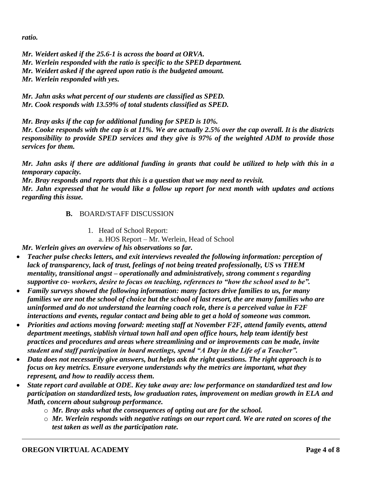*ratio.* 

*Mr. Weidert asked if the 25.6-1 is across the board at ORVA. Mr. Werlein responded with the ratio is specific to the SPED department. Mr. Weidert asked if the agreed upon ratio is the budgeted amount. Mr. Werlein responded with yes.* 

*Mr. Jahn asks what percent of our students are classified as SPED. Mr. Cook responds with 13.59% of total students classified as SPED.* 

*Mr. Bray asks if the cap for additional funding for SPED is 10%.*

*Mr. Cooke responds with the cap is at 11%. We are actually 2.5% over the cap overall. It is the districts responsibility to provide SPED services and they give is 97% of the weighted ADM to provide those services for them.* 

*Mr. Jahn asks if there are additional funding in grants that could be utilized to help with this in a temporary capacity.*

*Mr. Bray responds and reports that this is a question that we may need to revisit. Mr. Jahn expressed that he would like a follow up report for next month with updates and actions regarding this issue.* 

# **B.** BOARD/STAFF DISCUSSION

1. Head of School Report:

a. HOS Report – Mr. Werlein, Head of School

*Mr. Werlein gives an overview of his observations so far.*

- *Teacher pulse checks letters, and exit interviews revealed the following information: perception of lack of transparency, lack of trust, feelings of not being treated professionally, US vs THEM mentality, transitional angst – operationally and administratively, strong comment s regarding supportive co- workers, desire to focus on teaching, references to "how the school used to be".*
- *Family surveys showed the following information: many factors drive families to us, for many families we are not the school of choice but the school of last resort, the are many families who are uninformed and do not understand the learning coach role, there is a perceived value in F2F interactions and events, regular contact and being able to get a hold of someone was common.*
- *Priorities and actions moving forward: meeting staff at November F2F, attend family events, attend department meetings, stablish virtual town hall and open office hours, help team identify best practices and procedures and areas where streamlining and or improvements can be made, invite student and staff participation in board meetings, spend "A Day in the Life of a Teacher".*
- *Data does not necessarily give answers, but helps ask the right questions. The right approach is to focus on key metrics. Ensure everyone understands why the metrics are important, what they represent, and how to readily access them.*
- *State report card available at ODE. Key take away are: low performance on standardized test and low participation on standardized tests, low graduation rates, improvement on median growth in ELA and Math, concern about subgroup performance.* 
	- o *Mr. Bray asks what the consequences of opting out are for the school.*
	- o *Mr. Werlein responds with negative ratings on our report card. We are rated on scores of the test taken as well as the participation rate.*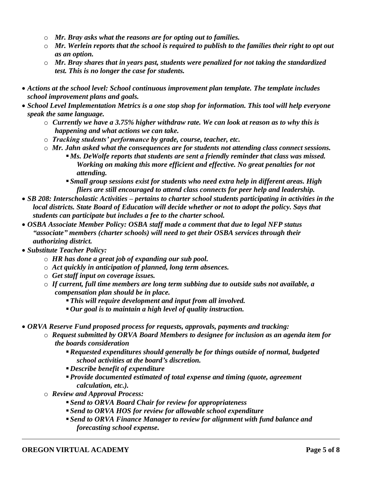- o *Mr. Bray asks what the reasons are for opting out to families.*
- o *Mr. Werlein reports that the school is required to publish to the families their right to opt out as an option.*
- o *Mr. Bray shares that in years past, students were penalized for not taking the standardized test. This is no longer the case for students.*
- *Actions at the school level: School continuous improvement plan template. The template includes school improvement plans and goals.*
- *School Level Implementation Metrics is a one stop shop for information. This tool will help everyone speak the same language.* 
	- o *Currently we have a 3.75% higher withdraw rate. We can look at reason as to why this is happening and what actions we can take.*
	- o *Tracking students' performance by grade, course, teacher, etc.*
	- o *Mr. Jahn asked what the consequences are for students not attending class connect sessions. Ms. DeWolfe reports that students are sent a friendly reminder that class was missed. Working on making this more efficient and effective. No great penalties for not* 
		- *attending. Small group sessions exist for students who need extra help in different areas. High fliers are still encouraged to attend class connects for peer help and leadership.*
- *SB 208: Interscholastic Activities – pertains to charter school students participating in activities in the local districts. State Board of Education will decide whether or not to adopt the policy. Says that students can participate but includes a fee to the charter school.*
- *OSBA Associate Member Policy: OSBA staff made a comment that due to legal NFP status "associate" members (charter schools) will need to get their OSBA services through their authorizing district.*
- *Substitute Teacher Policy:* 
	- o *HR has done a great job of expanding our sub pool.*
	- o *Act quickly in anticipation of planned, long term absences.*
	- o *Get staff input on coverage issues.*
	- o *If current, full time members are long term subbing due to outside subs not available, a compensation plan should be in place.* 
		- *This will require development and input from all involved.*
		- *Our goal is to maintain a high level of quality instruction.*
- *ORVA Reserve Fund proposed process for requests, approvals, payments and tracking:*
	- o *Request submitted by ORVA Board Members to designee for inclusion as an agenda item for the boards consideration*
		- *Requested expenditures should generally be for things outside of normal, budgeted school activities at the board's discretion.*
		- *Describe benefit of expenditure*
		- *Provide documented estimated of total expense and timing (quote, agreement calculation, etc.).*
	- o *Review and Approval Process:*
		- *Send to ORVA Board Chair for review for appropriateness*
		- *Send to ORVA HOS for review for allowable school expenditure*
		- *Send to ORVA Finance Manager to review for alignment with fund balance and forecasting school expense.*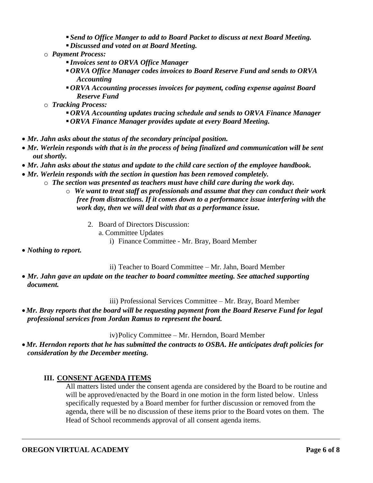- *Send to Office Manger to add to Board Packet to discuss at next Board Meeting.*
- *Discussed and voted on at Board Meeting.*
- o *Payment Process:*
	- *Invoices sent to ORVA Office Manager*
	- *ORVA Office Manager codes invoices to Board Reserve Fund and sends to ORVA Accounting*
	- *ORVA Accounting processes invoices for payment, coding expense against Board Reserve Fund*
- o *Tracking Process:*
	- *ORVA Accounting updates tracing schedule and sends to ORVA Finance Manager*
	- *ORVA Finance Manager provides update at every Board Meeting.*
- *Mr. Jahn asks about the status of the secondary principal position.*
- *Mr. Werlein responds with that is in the process of being finalized and communication will be sent out shortly.*
- *Mr. Jahn asks about the status and update to the child care section of the employee handbook.*
- *Mr. Werlein responds with the section in question has been removed completely.* 
	- $\circ$  *The section was presented as teachers must have child care during the work day.* 
		- o *We want to treat staff as professionals and assume that they can conduct their work free from distractions. If it comes down to a performance issue interfering with the work day, then we will deal with that as a performance issue.* 
			- 2. Board of Directors Discussion:
				- a. Committee Updates
					- i) Finance Committee Mr. Bray, Board Member
- *Nothing to report.*

ii) Teacher to Board Committee – Mr. Jahn, Board Member

 *Mr. Jahn gave an update on the teacher to board committee meeting. See attached supporting document.* 

iii) Professional Services Committee – Mr. Bray, Board Member

*Mr. Bray reports that the board will be requesting payment from the Board Reserve Fund for legal professional services from Jordan Ramus to represent the board.* 

iv)Policy Committee – Mr. Herndon, Board Member

*Mr. Herndon reports that he has submitted the contracts to OSBA. He anticipates draft policies for consideration by the December meeting.* 

## **III. CONSENT AGENDA ITEMS**

All matters listed under the consent agenda are considered by the Board to be routine and will be approved/enacted by the Board in one motion in the form listed below. Unless specifically requested by a Board member for further discussion or removed from the agenda, there will be no discussion of these items prior to the Board votes on them. The Head of School recommends approval of all consent agenda items.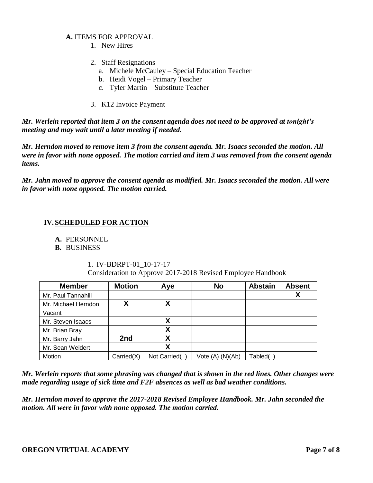#### **A.** ITEMS FOR APPROVAL

- 1. New Hires
- 2. Staff Resignations
	- a. Michele McCauley Special Education Teacher
	- b. Heidi Vogel Primary Teacher
	- c. Tyler Martin Substitute Teacher

#### 3. K12 Invoice Payment

*Mr. Werlein reported that item 3 on the consent agenda does not need to be approved at tonight's meeting and may wait until a later meeting if needed.* 

*Mr. Herndon moved to remove item 3 from the consent agenda. Mr. Isaacs seconded the motion. All were in favor with none opposed. The motion carried and item 3 was removed from the consent agenda items.* 

*Mr. Jahn moved to approve the consent agenda as modified. Mr. Isaacs seconded the motion. All were in favor with none opposed. The motion carried.* 

## **IV.SCHEDULED FOR ACTION**

## **A.** PERSONNEL

## **B.** BUSINESS

#### 1. IV-BDRPT-01\_10-17-17

Consideration to Approve 2017-2018 Revised Employee Handbook

| <b>Member</b>       | <b>Motion</b> | Aye          | <b>No</b>                     | <b>Abstain</b> | <b>Absent</b> |
|---------------------|---------------|--------------|-------------------------------|----------------|---------------|
| Mr. Paul Tannahill  |               |              |                               |                |               |
| Mr. Michael Herndon |               | χ            |                               |                |               |
| Vacant              |               |              |                               |                |               |
| Mr. Steven Isaacs   |               | χ            |                               |                |               |
| Mr. Brian Bray      |               | Χ            |                               |                |               |
| Mr. Barry Jahn      | 2nd           | χ            |                               |                |               |
| Mr. Sean Weidert    |               | Χ            |                               |                |               |
| Motion              | Carried(X)    | Not Carried( | Vote <sub>1</sub> (A) (N)(Ab) | Tabled(        |               |

*Mr. Werlein reports that some phrasing was changed that is shown in the red lines. Other changes were made regarding usage of sick time and F2F absences as well as bad weather conditions.*

*Mr. Herndon moved to approve the 2017-2018 Revised Employee Handbook. Mr. Jahn seconded the motion. All were in favor with none opposed. The motion carried.*